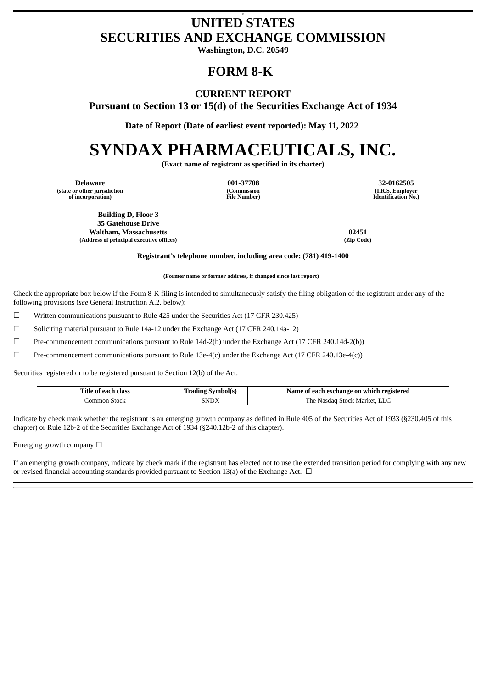### c **UNITED STATES SECURITIES AND EXCHANGE COMMISSION**

**Washington, D.C. 20549**

# **FORM 8-K**

## **CURRENT REPORT**

**Pursuant to Section 13 or 15(d) of the Securities Exchange Act of 1934**

**Date of Report (Date of earliest event reported): May 11, 2022**

# **SYNDAX PHARMACEUTICALS, INC.**

**(Exact name of registrant as specified in its charter)**

**Delaware 001-37708 32-0162505 (state or other jurisdiction of incorporation)**

**(Commission File Number)**

**(I.R.S. Employer Identification No.)**

**Building D, Floor 3 35 Gatehouse Drive Waltham, Massachusetts 02451 (Address of principal executive offices) (Zip Code)**

**Registrant's telephone number, including area code: (781) 419-1400**

**(Former name or former address, if changed since last report)**

Check the appropriate box below if the Form 8-K filing is intended to simultaneously satisfy the filing obligation of the registrant under any of the following provisions (*see* General Instruction A.2. below):

 $\Box$  Written communications pursuant to Rule 425 under the Securities Act (17 CFR 230.425)

☐ Soliciting material pursuant to Rule 14a-12 under the Exchange Act (17 CFR 240.14a-12)

 $\Box$  Pre-commencement communications pursuant to Rule 14d-2(b) under the Exchange Act (17 CFR 240.14d-2(b))

 $□$  Pre-commencement communications pursuant to Rule 13e-4(c) under the Exchange Act (17 CFR 240.13e-4(c))

Securities registered or to be registered pursuant to Section 12(b) of the Act.

| Title<br>. class<br>Ωt<br>0.20<br>- - - | * symbol(e.<br>.    | registered<br>n exchange on-<br>Name<br>ı which<br>-not<br>n        |
|-----------------------------------------|---------------------|---------------------------------------------------------------------|
| Stock<br>ommon                          | <b>CNIDY</b><br>NυΛ | - -<br>: Markei<br>i he<br><b>NI</b><br>stock '<br>inascia<br>حامله |

Indicate by check mark whether the registrant is an emerging growth company as defined in Rule 405 of the Securities Act of 1933 (§230.405 of this chapter) or Rule 12b-2 of the Securities Exchange Act of 1934 (§240.12b-2 of this chapter).

Emerging growth company  $\Box$ 

If an emerging growth company, indicate by check mark if the registrant has elected not to use the extended transition period for complying with any new or revised financial accounting standards provided pursuant to Section 13(a) of the Exchange Act.  $\Box$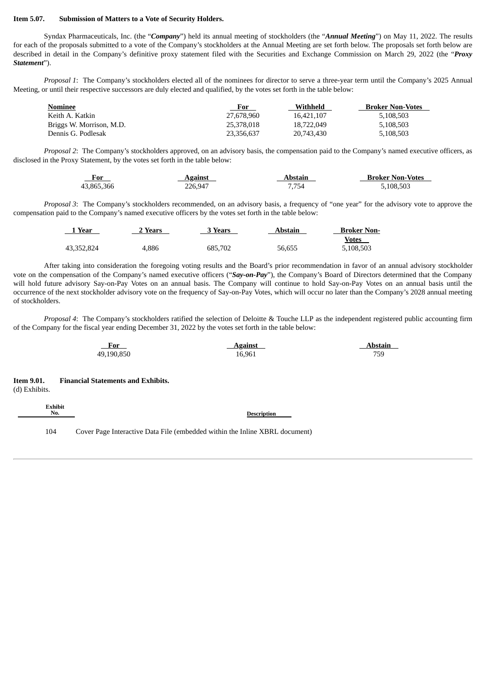#### **Item 5.07. Submission of Matters to a Vote of Security Holders.**

Syndax Pharmaceuticals, Inc. (the "*Company*") held its annual meeting of stockholders (the "*Annual Meeting*") on May 11, 2022. The results for each of the proposals submitted to a vote of the Company's stockholders at the Annual Meeting are set forth below. The proposals set forth below are described in detail in the Company's definitive proxy statement filed with the Securities and Exchange Commission on March 29, 2022 (the "*Proxy Statement*").

*Proposal 1*: The Company's stockholders elected all of the nominees for director to serve a three-year term until the Company's 2025 Annual Meeting, or until their respective successors are duly elected and qualified, by the votes set forth in the table below:

| <b>Broker Non-Votes</b> |
|-------------------------|
| 5,108,503               |
| 5,108,503               |
| 5.108.503               |
|                         |

*Proposal 2*: The Company's stockholders approved, on an advisory basis, the compensation paid to the Company's named executive officers, as disclosed in the Proxy Statement, by the votes set forth in the table below:

| <u>For</u> | <u>Against</u> | Abstain | <b>Broker Non-Votes</b> |
|------------|----------------|---------|-------------------------|
| 43,865,366 | 226.947        | 7.754   | 5.108.503               |

*Proposal 3*: The Company's stockholders recommended, on an advisory basis, a frequency of "one year" for the advisory vote to approve the compensation paid to the Company's named executive officers by the votes set forth in the table below:

| 1 Year     | ∠ Years | 3 Years | Abstain | <b>Broker Non-</b> |
|------------|---------|---------|---------|--------------------|
|            |         |         |         | Votes              |
| 43,352,824 | 4.886   | 685.702 | 56,655  | 5,108,503          |

After taking into consideration the foregoing voting results and the Board's prior recommendation in favor of an annual advisory stockholder vote on the compensation of the Company's named executive officers ("*Say-on-Pay*"), the Company's Board of Directors determined that the Company will hold future advisory Say-on-Pay Votes on an annual basis. The Company will continue to hold Say-on-Pay Votes on an annual basis until the occurrence of the next stockholder advisory vote on the frequency of Say-on-Pay Votes, which will occur no later than the Company's 2028 annual meeting of stockholders.

*Proposal 4*: The Company's stockholders ratified the selection of Deloitte & Touche LLP as the independent registered public accounting firm of the Company for the fiscal year ending December 31, 2022 by the votes set forth in the table below:

| For        | <b>Against</b> | Abstain |
|------------|----------------|---------|
| 49,190,850 | 16,961         | 759     |

**No. Description**

**Item 9.01. Financial Statements and Exhibits.** (d) Exhibits.

**Exhibit**<br>No.

104 Cover Page Interactive Data File (embedded within the Inline XBRL document)